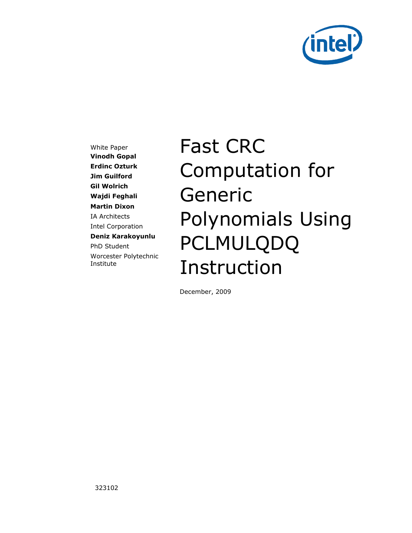

White Paper **Vinodh Gopal Erdinc Ozturk Jim Guilford Gil Wolrich Wajdi Feghali Martin Dixon** IA Architects Intel Corporation **Deniz Karakoyunlu** PhD Student Worcester Polytechnic Institute

# Fast CRC Computation for Generic Polynomials Using PCLMULQDQ Instruction

December, 2009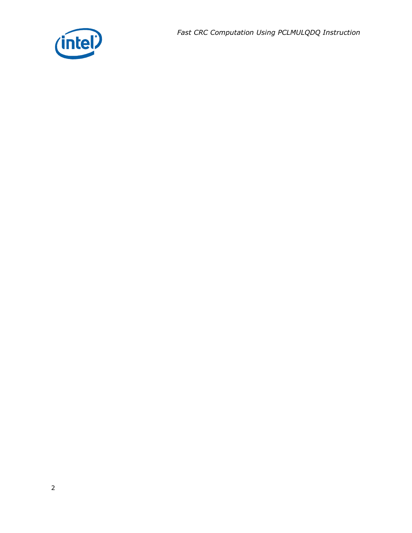

*Fast CRC Computation Using PCLMULQDQ Instruction*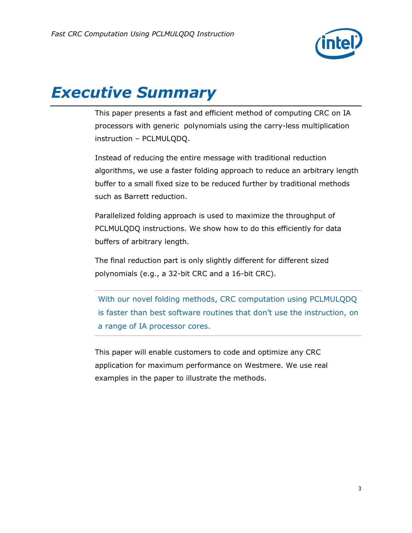

# *Executive Summary*

This paper presents a fast and efficient method of computing CRC on IA processors with generic polynomials using the carry-less multiplication instruction – PCLMULQDQ.

Instead of reducing the entire message with traditional reduction algorithms, we use a faster folding approach to reduce an arbitrary length buffer to a small fixed size to be reduced further by traditional methods such as Barrett reduction.

Parallelized folding approach is used to maximize the throughput of PCLMULQDQ instructions. We show how to do this efficiently for data buffers of arbitrary length.

The final reduction part is only slightly different for different sized polynomials (e.g., a 32-bit CRC and a 16-bit CRC).

With our novel folding methods, CRC computation using PCLMULQDQ is faster than best software routines that don't use the instruction, on a range of IA processor cores.

This paper will enable customers to code and optimize any CRC application for maximum performance on Westmere. We use real examples in the paper to illustrate the methods.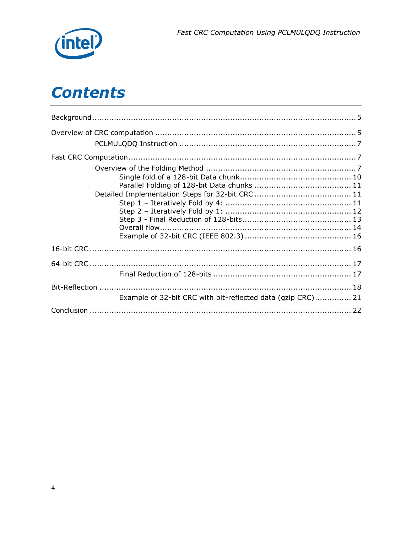

# **Contents**

| Example of 32-bit CRC with bit-reflected data (gzip CRC) 21 |  |
|-------------------------------------------------------------|--|
|                                                             |  |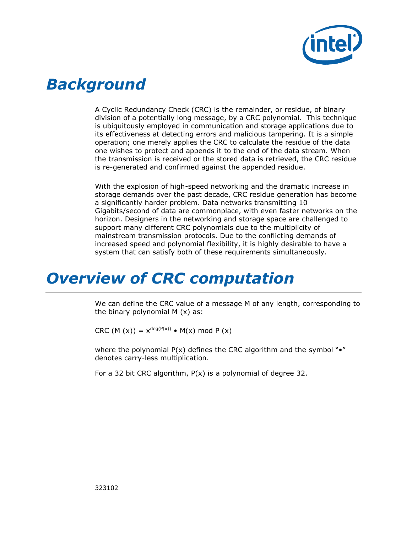

# <span id="page-4-0"></span>*Background*

A Cyclic Redundancy Check (CRC) is the remainder, or residue, of binary division of a potentially long message, by a CRC polynomial. This technique is ubiquitously employed in communication and storage applications due to its effectiveness at detecting errors and malicious tampering. It is a simple operation; one merely applies the CRC to calculate the residue of the data one wishes to protect and appends it to the end of the data stream. When the transmission is received or the stored data is retrieved, the CRC residue is re-generated and confirmed against the appended residue.

With the explosion of high-speed networking and the dramatic increase in storage demands over the past decade, CRC residue generation has become a significantly harder problem. Data networks transmitting 10 Gigabits/second of data are commonplace, with even faster networks on the horizon. Designers in the networking and storage space are challenged to support many different CRC polynomials due to the multiplicity of mainstream transmission protocols. Due to the conflicting demands of increased speed and polynomial flexibility, it is highly desirable to have a system that can satisfy both of these requirements simultaneously.

# <span id="page-4-1"></span>*Overview of CRC computation*

We can define the CRC value of a message M of any length, corresponding to the binary polynomial M (x) as:

CRC (M  $(x)$ ) =  $x^{\deg(P(x))}$  • M $(x)$  mod P  $(x)$ 

where the polynomial  $P(x)$  defines the CRC algorithm and the symbol " $\bullet$ " denotes carry-less multiplication.

For a 32 bit CRC algorithm, P(x) is a polynomial of degree 32.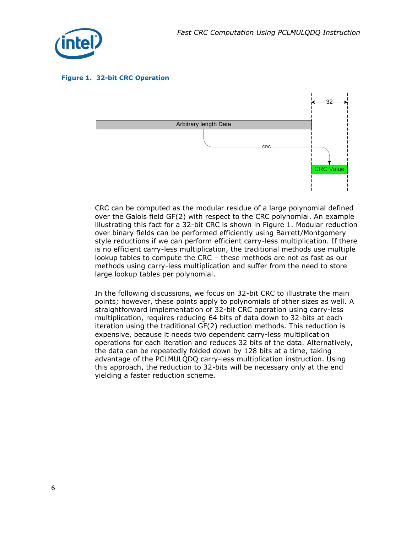

#### **Figure 1. 32-bit CRC Operation**



CRC can be computed as the modular residue of a large polynomial defined over the Galois field GF(2) with respect to the CRC polynomial. An example illustrating this fact for a 32-bit CRC is shown in Figure 1. Modular reduction over binary fields can be performed efficiently using Barrett/Montgomery style reductions if we can perform efficient carry-less multiplication. If there is no efficient carry-less multiplication, the traditional methods use multiple lookup tables to compute the CRC – these methods are not as fast as our methods using carry-less multiplication and suffer from the need to store large lookup tables per polynomial.

<span id="page-5-0"></span>In the following discussions, we focus on 32-bit CRC to illustrate the main points; however, these points apply to polynomials of other sizes as well. A straightforward implementation of 32-bit CRC operation using carry-less multiplication, requires reducing 64 bits of data down to 32-bits at each iteration using the traditional GF(2) reduction methods. This reduction is expensive, because it needs two dependent carry-less multiplication operations for each iteration and reduces 32 bits of the data. Alternatively, the data can be repeatedly folded down by 128 bits at a time, taking advantage of the PCLMULQDQ carry-less multiplication instruction. Using this approach, the reduction to 32-bits will be necessary only at the end yielding a faster reduction scheme.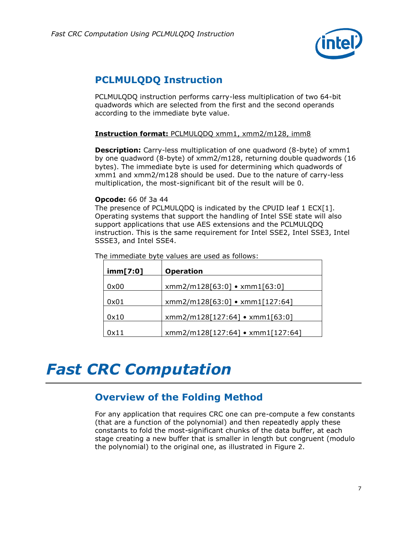

# **PCLMULQDQ Instruction**

PCLMULQDQ instruction performs carry-less multiplication of two 64-bit quadwords which are selected from the first and the second operands according to the immediate byte value.

### **Instruction format:** PCLMULQDQ xmm1, xmm2/m128, imm8

**Description:** Carry-less multiplication of one quadword (8-byte) of xmm1 by one quadword (8-byte) of xmm2/m128, returning double quadwords (16 bytes). The immediate byte is used for determining which quadwords of xmm1 and xmm2/m128 should be used. Due to the nature of carry-less multiplication, the most-significant bit of the result will be 0.

#### **Opcode:** 66 0f 3a 44

The presence of PCLMULQDQ is indicated by the CPUID leaf 1 ECX[1]. Operating systems that support the handling of Intel SSE state will also support applications that use AES extensions and the PCLMULQDQ instruction. This is the same requirement for Intel SSE2, Intel SSE3, Intel SSSE3, and Intel SSE4.

The immediate byte values are used as follows:

| imm[7:0] | <b>Operation</b>                 |
|----------|----------------------------------|
| 0x00     | xmm2/m128[63:0] • xmm1[63:0]     |
| 0x01     | xmm2/m128[63:0] • xmm1[127:64]   |
| 0x10     | xmm2/m128[127:64] • xmm1[63:0]   |
| 0x11     | xmm2/m128[127:64] • xmm1[127:64] |

# <span id="page-6-0"></span>*Fast CRC Computation*

# <span id="page-6-1"></span>**Overview of the Folding Method**

For any application that requires CRC one can pre-compute a few constants (that are a function of the polynomial) and then repeatedly apply these constants to fold the most-significant chunks of the data buffer, at each stage creating a new buffer that is smaller in length but congruent (modulo the polynomial) to the original one, as illustrated in Figure 2.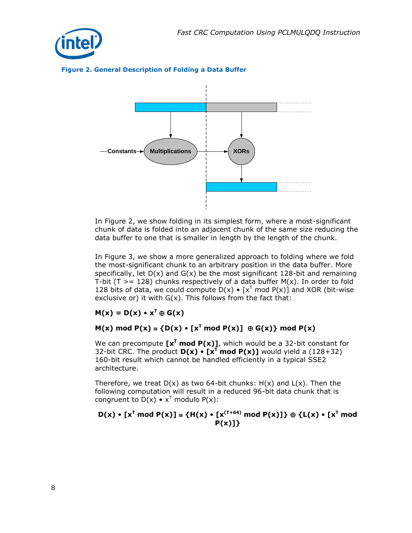

#### **Figure 2. General Description of Folding a Data Buffer**



In Figure 2, we show folding in its simplest form, where a most-significant chunk of data is folded into an adjacent chunk of the same size reducing the data buffer to one that is smaller in length by the length of the chunk.

In Figure 3, we show a more generalized approach to folding where we fold the most-significant chunk to an arbitrary position in the data buffer. More specifically, let  $D(x)$  and  $G(x)$  be the most significant 128-bit and remaining T-bit (T  $>= 128$ ) chunks respectively of a data buffer M(x). In order to fold 128 bits of data, we could compute  $D(x) \cdot [x^T \mod P(x)]$  and XOR (bit-wise exclusive or) it with  $G(x)$ . This follows from the fact that:

 $M(x) = D(x) \cdot x^T \oplus G(x)$ 

### $M(x) \text{ mod } P(x) = \{D(x) \cdot [x^T \text{ mod } P(x)] \oplus G(x)\} \text{ mod } P(x)$

We can precompute **[x <sup>T</sup> mod P(x)]**, which would be a 32-bit constant for 32-bit CRC. The product  $D(x) \cdot [x^T \mod P(x)]$  would yield a (128+32) 160-bit result which cannot be handled efficiently in a typical SSE2 architecture.

Therefore, we treat  $D(x)$  as two 64-bit chunks:  $H(x)$  and  $L(x)$ . Then the following computation will result in a reduced 96-bit data chunk that is congruent to  $D(x) \bullet x^T$  modulo  $P(x)$ :

### $D(x) \cdot [x^T \bmod P(x)] \equiv {H(x) \cdot [x^{(T+64)} \bmod P(x)]} \oplus {L(x) \cdot [x^T \bmod P(x)]}$ **P(x)]}**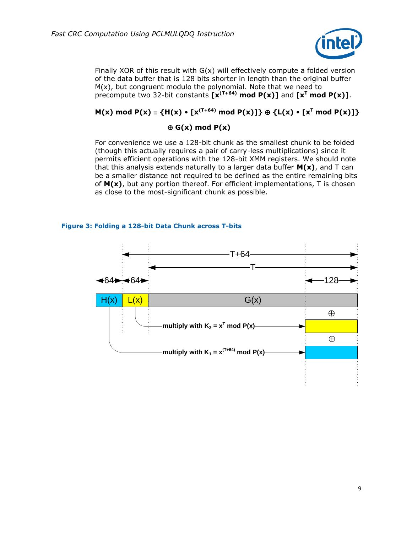

Finally XOR of this result with G(x) will effectively compute a folded version of the data buffer that is 128 bits shorter in length than the original buffer M(x), but congruent modulo the polynomial. Note that we need to precompute two 32-bit constants  $\mathbf{x}^{(T+64)}$  mod  $\mathbf{P(x)}$ ] and  $\mathbf{x}^T$  mod  $\mathbf{P(x)}$ ].

 $M(x) \text{ mod } P(x) = {H(x) \cdot [x^{(T+64)} \text{ mod } P(x)]} \oplus {L(x) \cdot [x^{T} \text{ mod } P(x)]}$ 

### $\oplus$  G(x) mod P(x)

For convenience we use a 128-bit chunk as the smallest chunk to be folded (though this actually requires a pair of carry-less multiplications) since it permits efficient operations with the 128-bit XMM registers. We should note that this analysis extends naturally to a larger data buffer **M(x)**, and T can be a smaller distance not required to be defined as the entire remaining bits of **M(x)**, but any portion thereof. For efficient implementations, T is chosen as close to the most-significant chunk as possible.

<span id="page-8-0"></span>

#### **Figure 3: Folding a 128-bit Data Chunk across T-bits**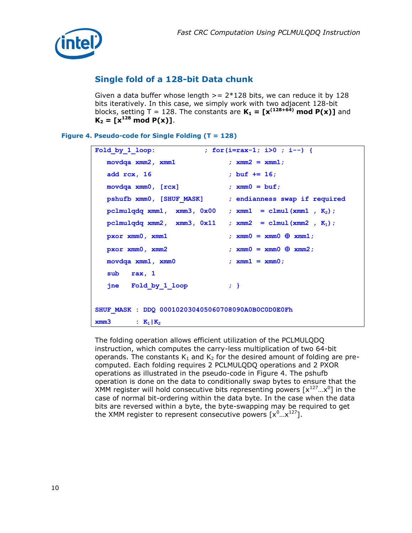

# **Single fold of a 128-bit Data chunk**

Given a data buffer whose length  $\geq$  = 2\*128 bits, we can reduce it by 128 bits iteratively. In this case, we simply work with two adjacent 128-bit blocks, setting T = 128. The constants are  $K_1 = [x^{(128+64)} \text{ mod } P(x)]$  and  $K_2 = [x^{128} \text{ mod } P(x)].$ 

**Figure 4. Pseudo-code for Single Folding (T = 128)**

```
Fold_by_1_loop: ; for(i=rax-1; i>0 ; i--) {
  movdqa xmm2, xmm1 ; xmm2 = xmm1;
  add rcx, 16 ; buf += 16;
  movdqa xmm0, [rcx] ; xmm0 = buf;
  pshufb xmm0, [SHUF_MASK] ; endianness swap if required
  pclmulqdq xmm1, xmm3, 0x00 ; xmm1 = clmul(xmm1 , K2);
  pclmulqdq xmm2, xmm3, 0x11 ; xmm2 = clmul(xmm2, K_1);
  pxor xmm0, xmm1 ; xmm0 = xmm0 \oplus xmm1;
  pxor x \text{mm0}, x \text{mm2} <b>; x \text{mm0} = x \text{mm0} \oplus x \text{mm2};
  movdqa xmm1, xmm0 ; xmm1 = xmm0;
  sub rax, 1
  jne Fold_by_1_loop ; }
SHUF_MASK : DDQ 000102030405060708090A0B0C0D0E0Fh
xmm3 : K1|K2
```
The folding operation allows efficient utilization of the PCLMULQDQ instruction, which computes the carry-less multiplication of two 64-bit operands. The constants  $K_1$  and  $K_2$  for the desired amount of folding are precomputed. Each folding requires 2 PCLMULQDQ operations and 2 PXOR operations as illustrated in the pseudo-code in Figure 4. The pshufb operation is done on the data to conditionally swap bytes to ensure that the XMM register will hold consecutive bits representing powers  $[x^{127}...x^0]$  in the case of normal bit-ordering within the data byte. In the case when the data bits are reversed within a byte, the byte-swapping may be required to get the XMM register to represent consecutive powers  $[x^0...x^{127}]$ .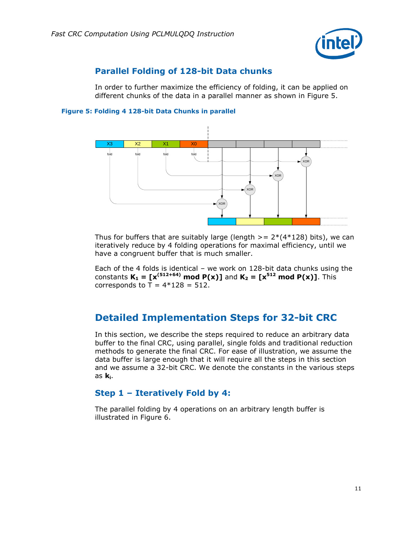

# <span id="page-10-0"></span>**Parallel Folding of 128-bit Data chunks**

In order to further maximize the efficiency of folding, it can be applied on different chunks of the data in a parallel manner as shown in Figure 5.

#### **Figure 5: Folding 4 128-bit Data Chunks in parallel**



Thus for buffers that are suitably large (length  $> = 2*(4*128)$  bits), we can iteratively reduce by 4 folding operations for maximal efficiency, until we have a congruent buffer that is much smaller.

Each of the 4 folds is identical – we work on 128-bit data chunks using the constants  $K_1 = [x^{(512+64)} \text{ mod } P(x)]$  and  $K_2 = [x^{512} \text{ mod } P(x)]$ . This corresponds to  $T = 4*128 = 512$ .

# <span id="page-10-1"></span>**Detailed Implementation Steps for 32-bit CRC**

In this section, we describe the steps required to reduce an arbitrary data buffer to the final CRC, using parallel, single folds and traditional reduction methods to generate the final CRC. For ease of illustration, we assume the data buffer is large enough that it will require all the steps in this section and we assume a 32-bit CRC. We denote the constants in the various steps as **ki**.

# <span id="page-10-2"></span>**Step 1 – Iteratively Fold by 4:**

The parallel folding by 4 operations on an arbitrary length buffer is illustrated in Figure 6.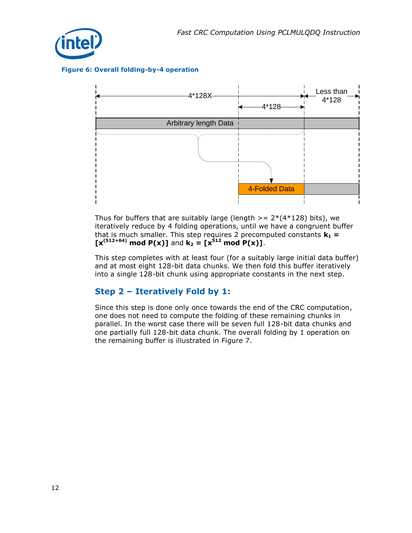

#### **Figure 6: Overall folding-by-4 operation**



Thus for buffers that are suitably large (length  $> = 2*(4*128)$  bits), we iteratively reduce by 4 folding operations, until we have a congruent buffer that is much smaller. This step requires 2 precomputed constants  $\mathbf{k}_1$  =  $[x^{(512+64)} \text{ mod } P(x)]$  and  $k_2 = [x^{512} \text{ mod } P(x)].$ 

This step completes with at least four (for a suitably large initial data buffer) and at most eight 128-bit data chunks. We then fold this buffer iteratively into a single 128-bit chunk using appropriate constants in the next step.

## <span id="page-11-0"></span>**Step 2 – Iteratively Fold by 1:**

Since this step is done only once towards the end of the CRC computation, one does not need to compute the folding of these remaining chunks in parallel. In the worst case there will be seven full 128-bit data chunks and one partially full 128-bit data chunk. The overall folding by 1 operation on the remaining buffer is illustrated in Figure 7.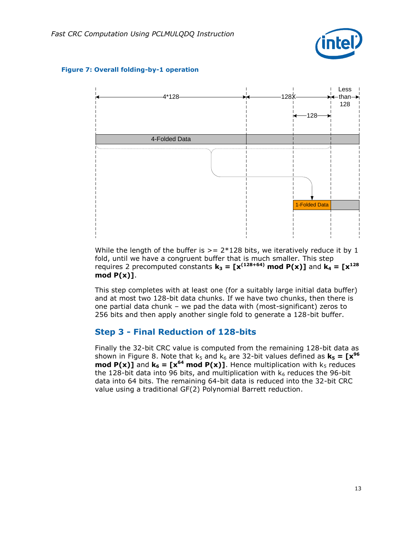





While the length of the buffer is  $>= 2*128$  bits, we iteratively reduce it by 1 fold, until we have a congruent buffer that is much smaller. This step requires 2 precomputed constants  $\mathbf{k}_3 = [\mathbf{x}^{(128+64)} \text{ mod } \mathbf{P}(\mathbf{x})]$  and  $\mathbf{k}_4 = [\mathbf{x}^{128}]$ **mod P(x)]**.

This step completes with at least one (for a suitably large initial data buffer) and at most two 128-bit data chunks. If we have two chunks, then there is one partial data chunk – we pad the data with (most-significant) zeros to 256 bits and then apply another single fold to generate a 128-bit buffer.

## <span id="page-12-0"></span>**Step 3 - Final Reduction of 128-bits**

Finally the 32-bit CRC value is computed from the remaining 128-bit data as shown in Figure 8. Note that k<sub>5</sub> and k<sub>6</sub> are 32-bit values defined as  $k_5 = [x^{96}]$ **mod P(x)]** and  $\mathbf{k}_6 = [\mathbf{x}^{64} \text{ mod } \mathbf{P}(\mathbf{x})]$ . Hence multiplication with  $k_5$  reduces the 128-bit data into 96 bits, and multiplication with  $k_6$  reduces the 96-bit data into 64 bits. The remaining 64-bit data is reduced into the 32-bit CRC value using a traditional GF(2) Polynomial Barrett reduction.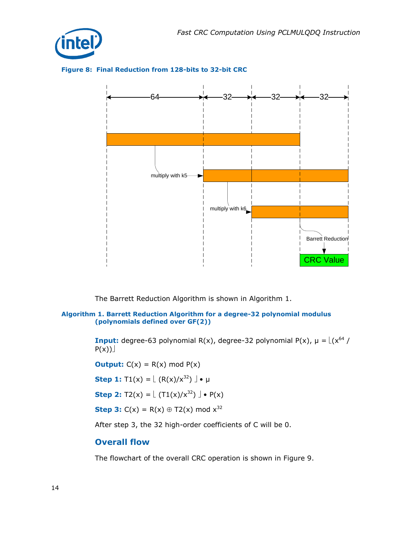





The Barrett Reduction Algorithm is shown in Algorithm 1.

#### **Algorithm 1. Barrett Reduction Algorithm for a degree-32 polynomial modulus (polynomials defined over GF(2))**

**Input:** degree-63 polynomial R(x), degree-32 polynomial P(x),  $\mu = \lfloor (x^{64} /$  $P(x)$ 

**Output:**  $C(x) = R(x) \text{ mod } P(x)$ 

**Step 1:**  $T1(x) = \lfloor (R(x)/x^{32}) \rfloor \cdot \mu$ 

**Step 2:**  $T2(x) = (T1(x)/x^{32}) \cdot P(x)$ 

**Step 3:** 
$$
C(x) = R(x) \oplus T2(x) \mod x^{32}
$$

<span id="page-13-0"></span>After step 3, the 32 high-order coefficients of C will be 0.

## **Overall flow**

The flowchart of the overall CRC operation is shown in Figure 9.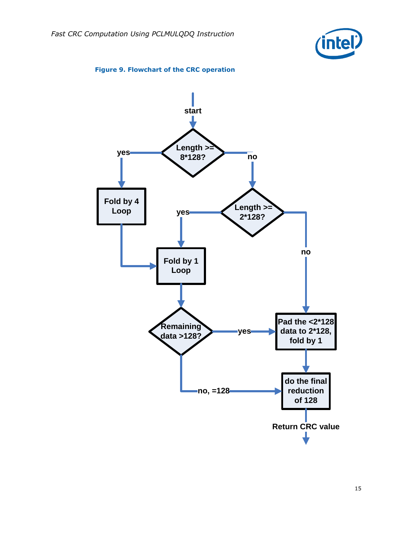

#### **Figure 9. Flowchart of the CRC operation**

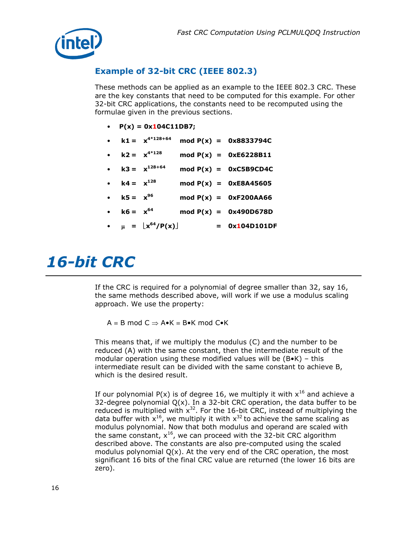

# <span id="page-15-0"></span>**Example of 32-bit CRC (IEEE 802.3)**

These methods can be applied as an example to the IEEE 802.3 CRC. These are the key constants that need to be computed for this example. For other 32-bit CRC applications, the constants need to be recomputed using the formulae given in the previous sections.

- $P(x) = 0x104C11DB7;$
- $k1 = x^{4*128+64}$  $mod P(x) = 0x8833794C$
- $k2 = x^{4*128}$  $mod P(x) = 0xE6228B11$
- $k3 = x^{128+64}$  $mod P(x) = 0xC5B9CD4C$
- $k4 = x^{128}$ **<sup>128</sup> mod P(x) = 0xE8A45605**
- $k5 = x^{96}$ **<sup>96</sup> mod P(x) = 0xF200AA66**
- $k6 = x^{64}$ **<sup>64</sup> mod P(x) = 0x490D678D**
- $\mu = \lfloor x^{64}/P(x) \rfloor$ **<sup>64</sup>/P(x) = 0x104D101DF**

# <span id="page-15-1"></span>*16-bit CRC*

If the CRC is required for a polynomial of degree smaller than 32, say 16, the same methods described above, will work if we use a modulus scaling approach. We use the property:

 $A \equiv B \mod C \Rightarrow A \bullet K \equiv B \bullet K \mod C \bullet K$ 

This means that, if we multiply the modulus (C) and the number to be reduced (A) with the same constant, then the intermediate result of the modular operation using these modified values will be  $(B \cdot K)$  - this intermediate result can be divided with the same constant to achieve B, which is the desired result.

If our polynomial  $P(x)$  is of degree 16, we multiply it with  $x^{16}$  and achieve a 32-degree polynomial Q(x). In a 32-bit CRC operation, the data buffer to be reduced is multiplied with  $x^{32}$ . For the 16-bit CRC, instead of multiplying the data buffer with  $x^{16}$ , we multiply it with  $x^{32}$  to achieve the same scaling as modulus polynomial. Now that both modulus and operand are scaled with the same constant,  $x^{16}$ , we can proceed with the 32-bit CRC algorithm described above. The constants are also pre-computed using the scaled modulus polynomial  $Q(x)$ . At the very end of the CRC operation, the most significant 16 bits of the final CRC value are returned (the lower 16 bits are zero).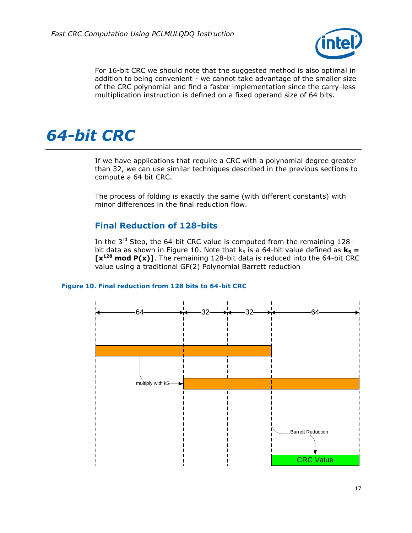

For 16-bit CRC we should note that the suggested method is also optimal in addition to being convenient - we cannot take advantage of the smaller size of the CRC polynomial and find a faster implementation since the carry-less multiplication instruction is defined on a fixed operand size of 64 bits.

# <span id="page-16-0"></span>*64-bit CRC*

If we have applications that require a CRC with a polynomial degree greater than 32, we can use similar techniques described in the previous sections to compute a 64 bit CRC.

The process of folding is exactly the same (with different constants) with minor differences in the final reduction flow.

## <span id="page-16-1"></span>**Final Reduction of 128-bits**

In the 3<sup>rd</sup> Step, the 64-bit CRC value is computed from the remaining 128bit data as shown in Figure 10. Note that  $k_5$  is a 64-bit value defined as  $k_5 =$ **[x <sup>128</sup> mod P(x)]**. The remaining 128-bit data is reduced into the 64-bit CRC value using a traditional GF(2) Polynomial Barrett reduction

#### **Figure 10. Final reduction from 128 bits to 64-bit CRC**

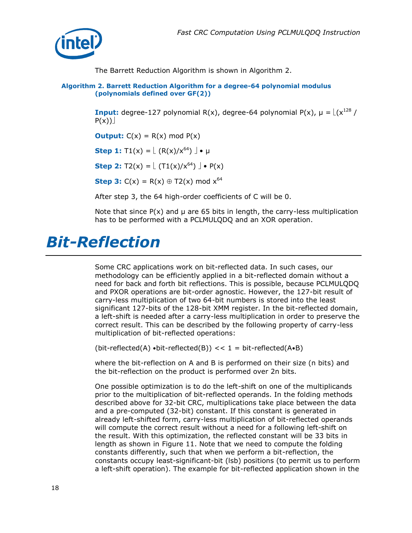

The Barrett Reduction Algorithm is shown in Algorithm 2.

**Algorithm 2. Barrett Reduction Algorithm for a degree-64 polynomial modulus (polynomials defined over GF(2))**

> **Input:** degree-127 polynomial R(x), degree-64 polynomial P(x),  $\mu = \lfloor (x^{128} /$  $P(x)$

**Output:**  $C(x) = R(x) \text{ mod } P(x)$ 

**Step 1:**  $T1(x) = (R(x)/x^{64}) \cdot \mu$ 

**Step 2:**  $T2(x) = \lfloor (T1(x)/x^{64}) \rfloor \cdot P(x)$ 

**Step 3:**  $C(x) = R(x) \oplus T2(x) \mod x^{64}$ 

After step 3, the 64 high-order coefficients of C will be 0.

Note that since  $P(x)$  and  $\mu$  are 65 bits in length, the carry-less multiplication has to be performed with a PCLMULQDQ and an XOR operation.

# <span id="page-17-0"></span>*Bit-Reflection*

Some CRC applications work on bit-reflected data. In such cases, our methodology can be efficiently applied in a bit-reflected domain without a need for back and forth bit reflections. This is possible, because PCLMULQDQ and PXOR operations are bit-order agnostic. However, the 127-bit result of carry-less multiplication of two 64-bit numbers is stored into the least significant 127-bits of the 128-bit XMM register. In the bit-reflected domain, a left-shift is needed after a carry-less multiplication in order to preserve the correct result. This can be described by the following property of carry-less multiplication of bit-reflected operations:

(bit-reflected(A) •bit-reflected(B)) <<  $1 = \text{bit-reflected}(A \cdot B)$ 

where the bit-reflection on A and B is performed on their size (n bits) and the bit-reflection on the product is performed over 2n bits.

One possible optimization is to do the left-shift on one of the multiplicands prior to the multiplication of bit-reflected operands. In the folding methods described above for 32-bit CRC, multiplications take place between the data and a pre-computed (32-bit) constant. If this constant is generated in already left-shifted form, carry-less multiplication of bit-reflected operands will compute the correct result without a need for a following left-shift on the result. With this optimization, the reflected constant will be 33 bits in length as shown in Figure 11. Note that we need to compute the folding constants differently, such that when we perform a bit-reflection, the constants occupy least-significant-bit (lsb) positions (to permit us to perform a left-shift operation). The example for bit-reflected application shown in the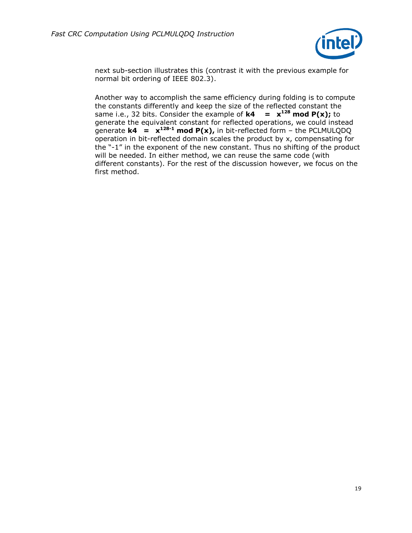

next sub-section illustrates this (contrast it with the previous example for normal bit ordering of IEEE 802.3).

Another way to accomplish the same efficiency during folding is to compute the constants differently and keep the size of the reflected constant the same i.e., 32 bits. Consider the example of  $k4 = x^{128}$  mod  $P(x)$ ; to generate the equivalent constant for reflected operations, we could instead generate  $k4 = x^{128-1} \mod P(x)$ , in bit-reflected form – the PCLMULQDQ operation in bit-reflected domain scales the product by x, compensating for the "-1" in the exponent of the new constant. Thus no shifting of the product will be needed. In either method, we can reuse the same code (with different constants). For the rest of the discussion however, we focus on the first method.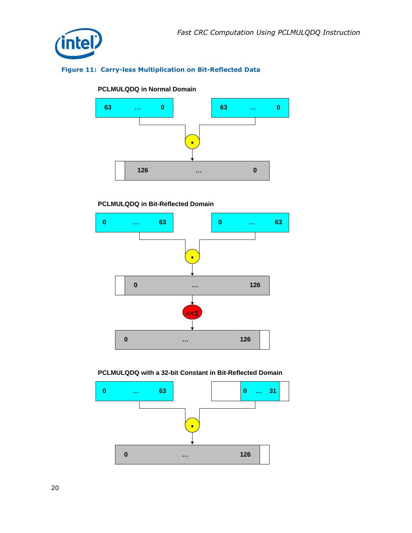

### **Figure 11: Carry-less Multiplication on Bit-Reflected Data**

### **PCLMULQDQ in Normal Domain**



#### **PCLMULQDQ in Bit-Reflected Domain**



#### **PCLMULQDQ with a 32-bit Constant in Bit-Reflected Domain**

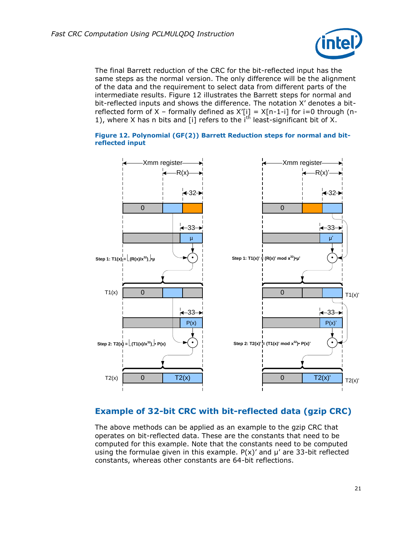

The final Barrett reduction of the CRC for the bit-reflected input has the same steps as the normal version. The only difference will be the alignment of the data and the requirement to select data from different parts of the intermediate results. Figure 12 illustrates the Barrett steps for normal and bit-reflected inputs and shows the difference. The notation X' denotes a bitreflected form of X – formally defined as  $X'[i] = X[n-1-i]$  for i=0 through (n-1), where X has n bits and [i] refers to the  $i<sup>th</sup>$  least-significant bit of X.

#### **Figure 12. Polynomial (GF(2)) Barrett Reduction steps for normal and bitreflected input**



# <span id="page-20-0"></span>**Example of 32-bit CRC with bit-reflected data (gzip CRC)**

The above methods can be applied as an example to the gzip CRC that operates on bit-reflected data. These are the constants that need to be computed for this example. Note that the constants need to be computed using the formulae given in this example.  $P(x)'$  and  $\mu'$  are 33-bit reflected constants, whereas other constants are 64-bit reflections.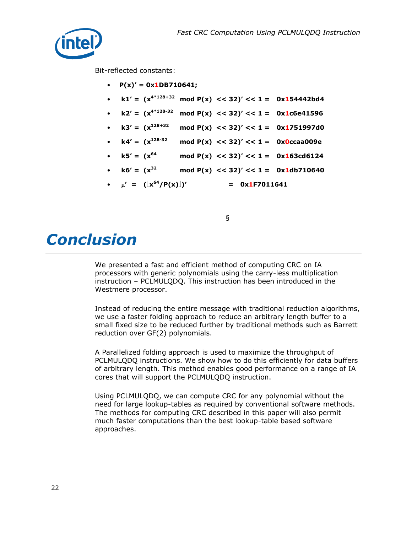

Bit-reflected constants:

- **P(x)' = 0x1DB710641;**
- $k1' = (x^{4*128+32} \mod P(x) << 32)' << 1 = 0x154442bd4$
- **k**2' =  $(x^{4*128-32} \mod P(x)$  << 32)' << 1 =  $0x1c6e41596$
- $k3' = (x^{128+32})$ **128+32 mod P(x) << 32)' << 1 = 0x1751997d0**
- $k4' = (x^{128-32})$ **128-32 mod P(x) << 32)' << 1 = 0x0ccaa009e**
- $k5' = (x^{64})$ mod  $P(x)$  << 32)' << 1 =  $0x163cd6124$
- $k6' = (x^{32})$ **<sup>32</sup> mod P(x) << 32)' << 1 = 0x1db710640**
- $\mu' = (\lfloor x^{64}/P(x) \rfloor)'$ **<sup>64</sup>/P(x))' = 0x1F7011641**

§

# <span id="page-21-0"></span>*Conclusion*

We presented a fast and efficient method of computing CRC on IA processors with generic polynomials using the carry-less multiplication instruction – PCLMULQDQ. This instruction has been introduced in the Westmere processor.

Instead of reducing the entire message with traditional reduction algorithms, we use a faster folding approach to reduce an arbitrary length buffer to a small fixed size to be reduced further by traditional methods such as Barrett reduction over GF(2) polynomials.

A Parallelized folding approach is used to maximize the throughput of PCLMULQDQ instructions. We show how to do this efficiently for data buffers of arbitrary length. This method enables good performance on a range of IA cores that will support the PCLMULQDQ instruction.

Using PCLMULQDQ, we can compute CRC for any polynomial without the need for large lookup-tables as required by conventional software methods. The methods for computing CRC described in this paper will also permit much faster computations than the best lookup-table based software approaches.